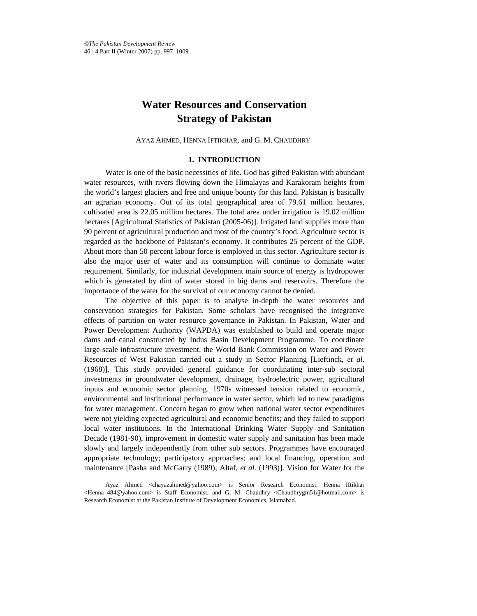# **Water Resources and Conservation Strategy of Pakistan**

AYAZ AHMED, HENNA IFTIKHAR, and G. M. CHAUDHRY\*

# **1. INTRODUCTION**

Water is one of the basic necessities of life. God has gifted Pakistan with abundant water resources, with rivers flowing down the Himalayas and Karakoram heights from the world's largest glaciers and free and unique bounty for this land. Pakistan is basically an agrarian economy. Out of its total geographical area of 79.61 million hectares, cultivated area is 22.05 million hectares. The total area under irrigation is 19.02 million hectares [Agricultural Statistics of Pakistan (2005-06)]. Irrigated land supplies more than 90 percent of agricultural production and most of the country's food. Agriculture sector is regarded as the backbone of Pakistan's economy. It contributes <sup>25</sup> percent of the GDP. About more than <sup>50</sup> percent labour force is employed in this sector. Agriculture sector is also the major user of water and its consumption will continue to dominate water requirement. Similarly, for industrial development main source of energy is hydropower which is generated by dint of water stored in big dams and reservoirs. Therefore the importance of the water for the survival of our economy cannot be denied.

The objective of this paper is to analyse in-depth the water resources and conservation strategies for Pakistan. Some scholars have recognised the integrative effects of partition on water resource governance in Pakistan. In Pakistan, Water and Power Development Authority (WAPDA) was established to build and operate major dams and canal constructed by Indus Basin Development Programme. To coordinate large-scale infrastructure investment, the World Bank Commission on Water and Power Resources of West Pakistan carried out a study in Sector Planning [Lieftinck, *et al*. (1968)]. This study provided general guidance for coordinating inter-sub sectoral investments in groundwater development, drainage, hydroelectric power, agricultural inputs and economic sector planning. 1970s witnessed tension related to economic, environmental and institutional performance in water sector, which led to new paradigms for water management. Concern began to grow when national water sector expenditures were not yielding expected agricultural and economic benefits; and they failed to support local water institutions. In the International Drinking Water Supply and Sanitation Decade (1981-90), improvement in domestic water supply and sanitation has been made slowly and largely independently from other sub sectors. Programmes have encouraged appropriate technology; participatory approaches; and local financing, operation and maintenance [Pasha and McGarry (1989); Altaf, *et al.* (1993)]. Vision for Water for the

Ayaz Ahmed <chayazahmed@yahoo.com> is Senior Research Economist, Henna Iftikhar <Henna\_484@yahoo.com> is Staff Economist, and G. M. Chaudhry <Chaudhrygm51@hotmail.com> is Research Economist at the Pakistan Institute of Development Economics, Islamabad.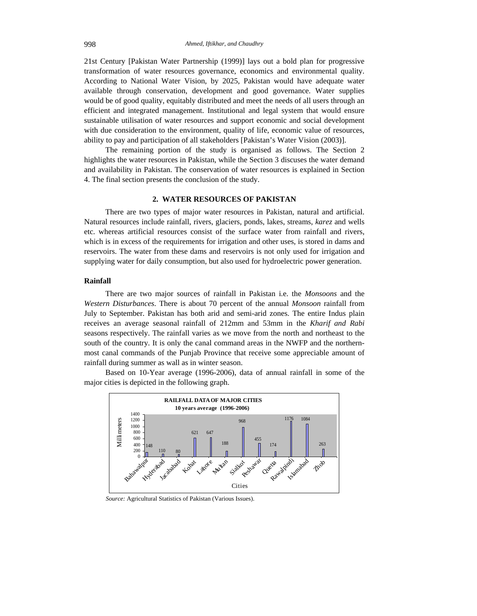21st Century [Pakistan Water Partnership (1999)] lays out a bold plan for progressive transformation of water resources governance, economics and environmental quality. According to National Water Vision, by 2025, Pakistan would have adequate water available through conservation, development and good governance. Water supplies would be of good quality, equitably distributed and meet the needs of all users through an efficient and integrated management. Institutional and legal system that would ensure sustainable utilisation of water resources and support economic and social development with due consideration to the environment, quality of life, economic value of resources, ability to pay and participation of all stakeholders [Pakistan's Water Vision (2003)].

The remaining portion of the study is organised as follows. The Section 2 highlights the water resources in Pakistan, while the Section 3 discuses the water demand and availability in Pakistan. The conservation of water resources is explained in Section 4. The final section presents the conclusion of the study.

# **2. WATER RESOURCES OF PAKISTAN**

There are two types of major water resources in Pakistan, natural and artificial. Natural resources include rainfall, rivers, glaciers, ponds, lakes, streams, *karez* and wells etc. whereas artificial resources consist of the surface water from rainfall and rivers, which is in excess of the requirements for irrigation and other uses, is stored in dams and reservoirs. The water from these dams and reservoirs is not only used for irrigation and supplying water for daily consumption, but also used for hydroelectric power generation.

# **Rainfall**

There are two major sources of rainfall in Pakistan i.e. the *Monsoons* and the *Western Disturbances*. There is about 70 percent of the annual *Monsoon* rainfall from July to September. Pakistan has both arid and semi-arid zones. The entire Indus plain receives an average seasonal rainfall of 212mm and 53mm in the *Kharif and Rabi* seasons respectively. The rainfall varies as we move from the north and northeast to the south of the country. It is only the canal command areas in the NWFP and the northernmost canal commands of the Punjab Province that receive some appreciable amount of rainfall during summer as wall as in winter season. Based on 10-Year average (1996-2006), data of annual rainfall in some of the

major cities is depicted in the following graph.



*Source:* Agricultural Statistics of Pakistan (Various Issues).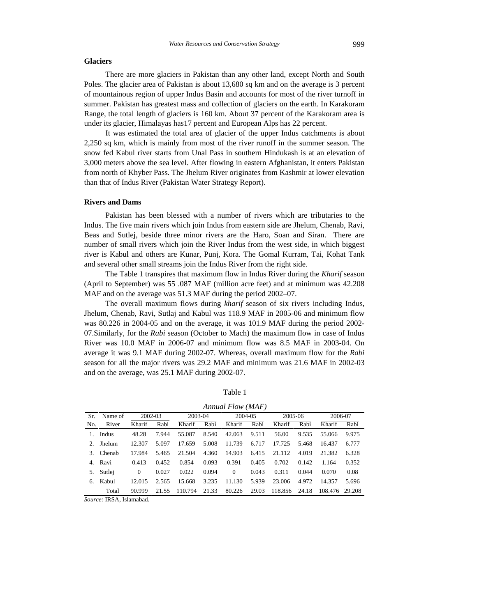# **Glaciers**

There are more glaciers in Pakistan than any other land, except North and South Poles. The glacier area of Pakistan is about 13,680 sq km and on the average is 3 percent of mountainous region of upper Indus Basin and accounts for most of the river turnoff in summer. Pakistan has greatest mass and collection of glaciers on the earth. In Karakoram Range, the total length of glaciers is 160 km. About 37 percent of the Karakoram area is under its glacier, Himalayas has17 percent and European Alps has 22 percent.

It was estimated the total area of glacier of the upper Indus catchments is about 2,250 sq km, which is mainly from most of the river runoff in the summer season. The snow fed Kabul river starts from Unal Pass in southern Hindukash is at an elevation of 3,000 meters above the sea level. After flowing in eastern Afghanistan, it enters Pakistan from north of Khyber Pass. The Jhelum River originates from Kashmir at lower elevation than that of Indus River (Pakistan Water Strategy Report).

# **Rivers and Dams**

Pakistan has been blessed with a number of rivers which are tributaries to the Indus. The five main rivers which join Indus from eastern side are Jhelum, Chenab, Ravi, Beas and Sutlej, beside three minor rivers are the Haro, Soan and Siran. There are number of small rivers which join the River Indus from the west side, in which biggest river is Kabul and others are Kunar, Punj, Kora. The Gomal Kurram, Tai, Kohat Tank and several other small streams join the Indus River from the right side.

The Table 1 transpires that maximum flow in Indus River during the *Kharif* season (April to September) was 55 .087 MAF (million acre feet) and at minimum was 42.208 MAF and on the average was 51.3 MAF during the period 2002–07.

The overall maximum flows during *kharif* season of six rivers including Indus, Jhelum, Chenab, Ravi, Sutlaj and Kabul was 118.9 MAF in 2005-06 and minimum flow was 80.226 in 2004-05 and on the average, it was 101.9 MAF during the period 2002- 07.Similarly, for the *Rabi* season (October to Mach) the maximum flow in case of Indus River was 10.0 MAF in 2006-07 and minimum flow was 8.5 MAF in 2003-04. On average it was 9.1 MAF during 2002-07. Whereas, overall maximum flow for the *Rabi* season for all the major rivers was 29.2 MAF and minimum was 21.6 MAF in 2002-03 and on the average, was 25.1 MAF during 2002-07.

|             |                                                                            |                                                                           | Annual Flow (MAF) |              |         |                  |         |
|-------------|----------------------------------------------------------------------------|---------------------------------------------------------------------------|-------------------|--------------|---------|------------------|---------|
| Sr. Name of | 2002-03                                                                    | 2003-04                                                                   |                   | 2004-05      | 2005-06 |                  | 2006-07 |
|             | No. River Kharif Rabi Kharif Rabi Kharif Rabi Kharif Rabi Kharif Rabi      |                                                                           |                   |              |         |                  |         |
| Indus       |                                                                            | 48.28 7.944 55.087 8.540 42.063 9.511 56.00 9.535 55.066 9.975            |                   |              |         |                  |         |
|             | 2. Jhelum 12.307 5.097 17.659 5.008 11.739 6.717 17.725 5.468 16.437 6.777 |                                                                           |                   |              |         |                  |         |
| Chenab      |                                                                            | 17.984 5.465 21.504 4.360 14.903 6.415 21.112 4.019 21.382 6.328          |                   |              |         |                  |         |
| 4. Ravi     |                                                                            | 0.413 0.452 0.854 0.093 0.391 0.405 0.702 0.142 1.164 0.352               |                   |              |         |                  |         |
| 5. Sutlej   | 0.027                                                                      | 0.022 0.094                                                               |                   | $0 \t 0.043$ | 0.311   | 0.044 0.070 0.08 |         |
| 6. Kabul    |                                                                            | 12.015  2.565  15.668  3.235  11.130  5.939  23.006  4.972  14.357  5.696 |                   |              |         |                  |         |
|             | Total 90.999 21.55 110.794 21.33 80.226 29.03 118.856 24.18 108.476 29.208 |                                                                           |                   |              |         |                  |         |

*Source:* IRSA, Islamabad.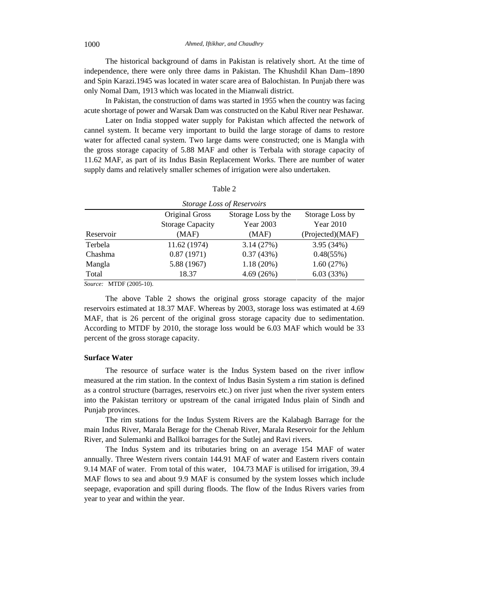The historical background of dams in Pakistan is relatively short. At the time of independence, there were only three dams in Pakistan. The Khushdil Khan Dam–1890 and Spin Karazi.1945 was located in water scare area of Balochistan. In Punjab there was only Nomal Dam, 1913 which was located in the Mianwali district.

In Pakistan, the construction of dams was started in 1955 when the country was facing acute shortage of power and Warsak Dam was constructed on the Kabul River near Peshawar.

Later on India stopped water supply for Pakistan which affected the network of cannel system. It became very important to build the large storage of dams to restore water for affected canal system. Two large dams were constructed; one is Mangla with the gross storage capacity of 5.88 MAF and other is Terbalawith storage capacity of 11.62 MAF, as part of its Indus Basin Replacement Works. There are number of water supply dams and relatively smaller schemes of irrigation were also undertaken.

| ---<br>Table <sub>4</sub> |  |  |
|---------------------------|--|--|

|           |                         | Storage Loss of Reservoirs |                  |
|-----------|-------------------------|----------------------------|------------------|
|           | <b>Original Gross</b>   | Storage Loss by the        | Storage Loss by  |
|           | <b>Storage Capacity</b> | Year 2003                  | Year 2010        |
| Reservoir | (MAF)                   | (MAF)                      | (Projected)(MAF) |
| Terbela   | 11.62 (1974)            | 3.14(27%)                  | 3.95(34%)        |
| Chashma   | 0.87(1971)              | 0.37(43%)                  | 0.48(55%)        |
| Mangla    | 5.88(1967)              | 1.18(20%)                  | 1.60(27%)        |
| Total     | 18.37                   | 4.69(26%)                  | 6.03(33%)        |

*Source:* MTDF (2005-10).

The above Table 2 shows the original gross storage capacity of the major reservoirs estimated at 18.37 MAF. Whereas by 2003, storage loss was estimated at 4.69 MAF, that is 26 percent of the original gross storage capacity due to sedimentation. According to MTDF by 2010, the storage loss would be 6.03 MAF which would be 33 percent of the gross storage capacity.

# **Surface Water**

The resource of surface water is the Indus System based on the river inflow measured at the rim station. In the context of Indus Basin System a rim station is defined as a control structure (barrages, reservoirs etc.) on river just when the river system enters into the Pakistan territory or upstream of the canal irrigated Indus plain of Sindh and Punjab provinces.

The rim stations for the Indus System Rivers are the Kalabagh Barrage for the main Indus River, Marala Berage for the Chenab River, Marala Reservoir for the Jehlum River, and Sulemanki and Ballkoi barrages for the Sutlej and Ravi rivers.

The Indus System and its tributaries bring on an average 154 MAF of water annually. Three Western rivers contain 144.91 MAF of water and Eastern rivers contain 9.14 MAF of water. From total of this water, 104.73 MAF is utilised for irrigation, 39.4 MAF flows to sea and about 9.9 MAF is consumed by the system losses which include seepage, evaporation and spill during floods. The flow of the Indus Rivers varies from year to year and within the year.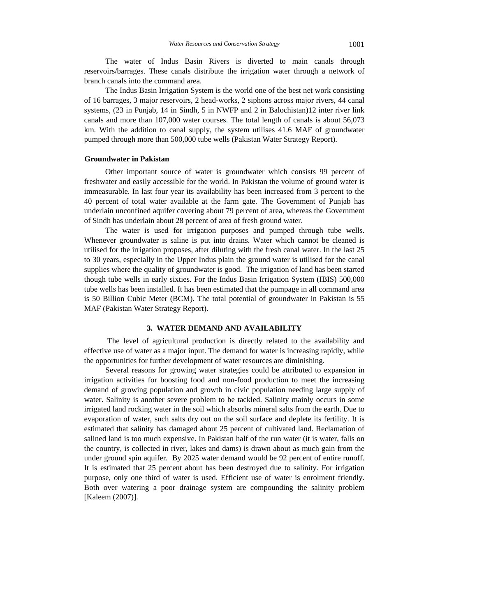The water of Indus Basin Rivers is diverted to main canals through reservoirs/barrages. These canals distribute the irrigation water through a network of branch canals into the command area.

The Indus Basin Irrigation System is the world one of the best net work consisting of 16 barrages, 3 major reservoirs, 2 head-works, 2 siphons across major rivers, 44 canal systems, (23 in Punjab, 14 in Sindh, 5 in NWFP and 2 in Balochistan)12 inter river link canals and more than 107,000 water courses. The total length of canals is about 56,073 km. With the addition to canal supply, the system utilises 41.6 MAF of groundwater pumped through more than 500,000 tube wells (Pakistan Water Strategy Report).

# **Groundwater in Pakistan**

Other important source of water is groundwater which consists 99 percent of freshwater and easily accessible for the world. In Pakistan the volume of ground water is immeasurable. In last four year its availability has been increased from 3 percent to the 40 percent of total water available at the farm gate. The Government of Punjab has underlain unconfined aquifer covering about 79 percent of area, whereas the Government of Sindh has underlain about 28 percent of area of fresh ground water. The water is used for irrigation purposes and pumped through tube wells.

Whenever groundwater is saline is put into drains. Water which cannot be cleaned is utilised for the irrigation proposes, after diluting with the fresh canal water. In the last 25 to 30 years, especially in the Upper Indus plain the ground water is utilised for the canal supplies where the quality of groundwater is good. The irrigation of land has been started though tube wells in early sixties. For the Indus Basin Irrigation System (IBIS) 500,000 tube wells has been installed. It has been estimated that the pumpage in all command area is 50 Billion Cubic Meter (BCM). The total potential of groundwater in Pakistan is 55 MAF (Pakistan Water Strategy Report).

# **3. WATER DEMAND AND AVAILABILITY**

The level of agricultural production is directly related to the availability and effective use of water as a major input. The demand for water is increasing rapidly, while the opportunities for further development of water resources are diminishing.

Several reasons for growing water strategies could be attributed to expansion in irrigation activities for boosting food and non-food production to meet the increasing demand of growing population and growth in civic population needing large supply of water. Salinity is another severe problem to be tackled. Salinity mainly occurs in some irrigated land rocking water in the soil which absorbs mineral salts from the earth. Due to evaporation of water, such salts dry out on the soil surface and deplete itsfertility. It is estimated that salinity has damaged about 25 percent of cultivated land. Reclamation of salined land is too much expensive. In Pakistan half of the run water (it is water, falls on the country, is collected in river, lakes and dams) is drawn about as much gain from the under ground spin aquifer. By 2025 water demand would be 92 percent of entire runoff. It is estimated that 25 percent about has been destroyed due to salinity.For irrigation purpose, only one third of water is used. Efficient use of water is enrolment friendly. Both over watering a poor drainage system are compounding the salinity problem [Kaleem (2007)].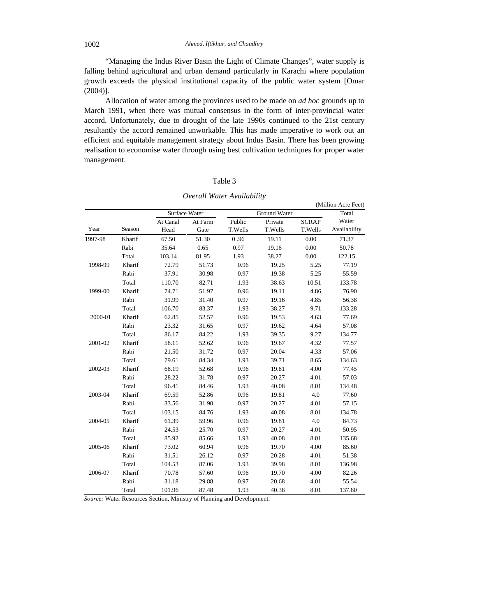"Managing the Indus River Basin the Light of Climate Changes", water supply is falling behind agricultural and urban demand particularly in Karachi where population growth exceeds the physical institutional capacity of the public water system [Omar (2004)]. Allocation of water among the provinces used to be made on *ad hoc* grounds up to

March 1991, when there was mutual consensus in the form of inter-provincial water accord. Unfortunately, due to drought of the late 1990s continued to the 21st century resultantly the accord remained unworkable. This has made imperative to work out an efficient and equitable management strategy about Indus Basin. There has been growing realisation to economise water through using best cultivation techniques for proper water management.

# Table 3

|         |        |          |               |         |              |          | (Million Acre Feet) |
|---------|--------|----------|---------------|---------|--------------|----------|---------------------|
|         |        |          | Surface Water |         | Ground Water |          | Total               |
|         |        | At Canal | At Farm       | Public  | Private      | SCRAP    | Water               |
| Year    | Season | Head     | Gate          | T.Wells | T.Wells      | T.Wells  | Availability        |
| 1997-98 | Kharif | 67.50    | 51.30         | 0.96    | 19.11        | $0.00\,$ | 71.37               |
|         | Rabi   | 35.64    | 0.65          | 0.97    | 19.16        | $0.00\,$ | 50.78               |
|         | Total  | 103.14   | 81.95         | 1.93    | 38.27        | $0.00\,$ | 122.15              |
| 1998-99 | Kharif | 72.79    | 51.73         | 0.96    | 19.25        | 5.25     | 77.19               |
|         | Rabi   | 37.91    | 30.98         | 0.97    | 19.38        | 5.25     | 55.59               |
|         | Total  | 110.70   | 82.71         | 1.93    | 38.63        | 10.51    | 133.78              |
| 1999-00 | Kharif | 74.71    | 51.97         | 0.96    | 19.11        | 4.86     | 76.90               |
|         | Rabi   | 31.99    | 31.40         | 0.97    | 19.16        | 4.85     | 56.38               |
|         | Total  | 106.70   | 83.37         | 1.93    | 38.27        | 9.71     | 133.28              |
| 2000-01 | Kharif | 62.85    | 52.57         | 0.96    | 19.53        | 4.63     | 77.69               |
|         | Rabi   | 23.32    | 31.65         | 0.97    | 19.62        | 4.64     | 57.08               |
|         | Total  | 86.17    | 84.22         | 1.93    | 39.35        | 9.27     | 134.77              |
| 2001-02 | Kharif | 58.11    | 52.62         | 0.96    | 19.67        | 4.32     | 77.57               |
|         | Rabi   | 21.50    | 31.72         | 0.97    | 20.04        | 4.33     | 57.06               |
|         | Total  | 79.61    | 84.34         | 1.93    | 39.71        | 8.65     | 134.63              |
| 2002-03 | Kharif | 68.19    | 52.68         | 0.96    | 19.81        | 4.00     | 77.45               |
|         | Rabi   | 28.22    | 31.78         | 0.97    | 20.27        | 4.01     | 57.03               |
|         | Total  | 96.41    | 84.46         | 1.93    | 40.08        | 8.01     | 134.48              |
| 2003-04 | Kharif | 69.59    | 52.86         | 0.96    | 19.81        | 4.0      | 77.60               |
|         | Rabi   | 33.56    | 31.90         | 0.97    | 20.27        | 4.01     | 57.15               |
|         | Total  | 103.15   | 84.76         | 1.93    | 40.08        | 8.01     | 134.78              |
| 2004-05 | Kharif | 61.39    | 59.96         | 0.96    | 19.81        | 4.0      | 84.73               |
|         | Rabi   | 24.53    | 25.70         | 0.97    | 20.27        | 4.01     | 50.95               |
|         | Total  | 85.92    | 85.66         | 1.93    | 40.08        | 8.01     | 135.68              |
| 2005-06 | Kharif | 73.02    | 60.94         | 0.96    | 19.70        | 4.00     | 85.60               |
|         | Rabi   | 31.51    | 26.12         | 0.97    | 20.28        | 4.01     | 51.38               |
|         | Total  | 104.53   | 87.06         | 1.93    | 39.98        | 8.01     | 136.98              |
| 2006-07 | Kharif | 70.78    | 57.60         | 0.96    | 19.70        | 4.00     | 82.26               |
|         | Rabi   | 31.18    | 29.88         | 0.97    | 20.68        | 4.01     | 55.54               |
|         | Total  | 101.96   | 87.48         | 1.93    | 40.38        | 8.01     | 137.80              |

# *Overall Water Availability*

*Source:* Water Resources Section, Ministry of Planning and Development.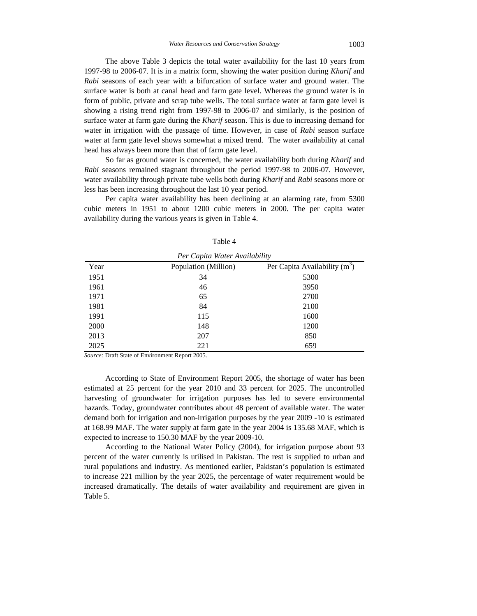The above Table 3 depicts the total water availability for the last 10 years from 1997-98 to 2006-07. It is in a matrix form, showing the water position during *Kharif* and *Rabi* seasons of each year with a bifurcation of surface water and ground water. The surface water is both at canal head and farm gate level. Whereas the ground water is in form of public, private and scrap tube wells. The total surface water at farm gate level is showing a rising trend right from 1997-98 to 2006-07 and similarly, is the position of surface water at farm gate during the *Kharif* season. This is due to increasing demand for water in irrigation with the passage of time. However, in case of *Rabi* season surface water at farm gate level shows somewhat a mixed trend. The water availability at canal

head has always been more than that of farm gate level.<br>So far as ground water is concerned, the water availability both during *Kharif* and *Rabi* seasons remained stagnant throughout the period 1997-98 to 2006-07. However, water availability through private tube wells both during *Kharif* and *Rabi* seasons more or less has been increasing throughout the last 10 year period.

Per capita water availability has been declining at an alarming rate, from 5300 cubic meters in 1951 to about 1200 cubic meters in 2000. The per capita water availability during the various years is given in Table 4.

|                  | Per Capita Water Availability |                                 |
|------------------|-------------------------------|---------------------------------|
| Year             | Population (Million)          | Per Capita Availability $(m^3)$ |
| 1951             |                               | 5300                            |
| 1961             |                               | 3950                            |
| 1971             |                               | 2700                            |
| 1981             |                               | 2100                            |
| 1991             | 115                           | 1600                            |
|                  | 148                           | 1200                            |
| $2000$<br>$2013$ | 207                           | 850                             |
| 2025             | 221                           | 659                             |

Table 4

*Source:* Draft State of Environment Report 2005.

According to State of Environment Report 2005, the shortage of water has been estimated at 25 percent for the year 2010 and 33 percent for 2025. The uncontrolled harvesting of groundwater for irrigation purposes has led to severe environmental hazards. Today, groundwater contributes about 48 percent of available water. The water demand both for irrigation and non-irrigation purposes by the year 2009 -10 is estimated at 168.99 MAF.The water supply at farm gate in the year 2004 is 135.68 MAF, which is expected to increase to 150.30 MAF by the year 2009-10.

According to the National Water Policy (2004), for irrigation purpose about 93 percent of the water currently is utilised in Pakistan. The rest is supplied to urban and rural populations and industry. As mentioned earlier, Pakistan's population is estimated to increase 221 million by the year 2025, the percentage of water requirement would be increased dramatically. The details of water availability and requirement are given in Table 5.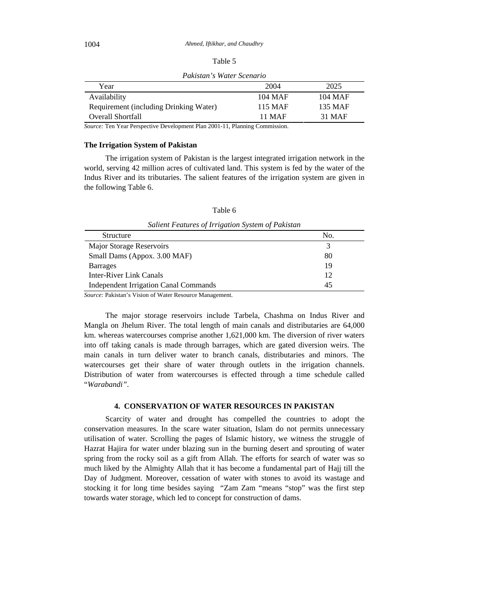| Table 5 |  |  |
|---------|--|--|
|---------|--|--|

*Pakistan's Water Scenario*

| i Cai                                  |         | $\sim$<br>---- |
|----------------------------------------|---------|----------------|
| Availability                           | 104 MAF | 104 MAF        |
| Requirement (including Drinking Water) | 115 MAF | 135 MAF        |
| Overall Shortfall                      | $1$ MAF | 31 MAF         |

*Source:* Ten Year Perspective Development Plan 2001-11, Planning Commission.

# **The Irrigation System of Pakistan**

The irrigation system of Pakistan is the largest integrated irrigation network in the world, serving 42 million acres of cultivated land. This system is fed by the water of the Indus River and its tributaries. The salient features of the irrigation system are given in the following Table 6.

| Salient Features of Irrigation System of Pakistan |  |
|---------------------------------------------------|--|
| Structure                                         |  |
| <b>Major Storage Reservoirs</b>                   |  |
| Small Dams (Appox. 3.00 MAF)                      |  |
| <b>Barrages</b>                                   |  |
| Inter-River Link Canals                           |  |
| <b>Independent Irrigation Canal Commands</b>      |  |

Table 6

*Source: Pakistan's Vision of Water Resource Management.*<br>The major storage reservoirs include Tarbela, Chashma on Indus River and Mangla on Jhelum River. The total length of main canals and distributaries are 64,000 km. whereas watercourses comprise another 1,621,000 km. The diversion of river waters into off taking canals is made through barrages, which are gated diversion weirs. The main canals in turn deliver water to branch canals, distributaries and minors. The watercourses get their share of water through outlets in the irrigation channels. Distribution of water from watercourses is effected through a time schedule called "*Warabandi"*.

# **4. CONSERVATION OF WATER RESOURCES IN PAKISTAN**

Scarcity of water and drought has compelled the countries to adopt the conservation measures. In the scare water situation, Islam do not permits unnecessary utilisation of water. Scrolling the pages of Islamic history, we witness the struggle of Hazrat Hajira for water under blazing sun in the burning desert and sprouting of water spring from the rocky soil as a gift from Allah. The efforts for search of water was so much liked by the Almighty Allah that it has become a fundamental part of Hajj till the Day of Judgment. Moreover, cessation of water with stones to avoid its wastage and stocking it for long time besides saying "Zam Zam "means "stop" was the first step towards water storage, which led to concept for construction of dams.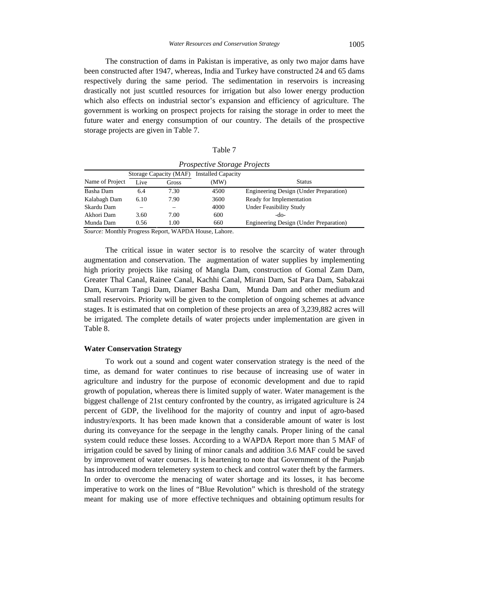The construction of dams in Pakistan is imperative, as only two major dams have been constructed after 1947, whereas, India and Turkey have constructed 24 and 65 dams respectively during the same period. The sedimentation in reservoirs is increasing drastically not just scuttled resources for irrigation but also lower energy production which also effects on industrial sector's expansion and efficiency of agriculture. The government is working on prospect projects for raising the storage in order to meet the future water and energy consumption of our country. The details of the prospective storage projects are given in Table 7.

|                      |      |                                           | <i>Prospective Storage Projects</i> |                                               |
|----------------------|------|-------------------------------------------|-------------------------------------|-----------------------------------------------|
|                      |      | Storage Capacity (MAF) Installed Capacity |                                     |                                               |
| Name of Project Live |      | Gross                                     |                                     |                                               |
| Basha Dam            | 6.4  |                                           | 4500                                | <b>Engineering Design (Under Preparation)</b> |
| Kalabagh Dam 6.10    |      | 7.90                                      | 3600                                | Ready for Implementation                      |
| Skardu Dam           |      |                                           | 4000                                | <b>Under Feasibility Study</b>                |
| Akhori Dam           | 3.60 | 7.00                                      | 600                                 |                                               |
| Munda Dam            | 0.56 | 1.00                                      | 660                                 | Engineering Design (Under Preparation)        |

*Source:* Monthly Progress Report, WAPDA House, Lahore.

The critical issue in water sector is to resolve the scarcity of water through augmentation and conservation. The augmentation of water supplies by implementing high priority projects like raising of Mangla Dam, construction of Gomal Zam Dam, Greater Thal Canal, Rainee Canal, Kachhi Canal, Mirani Dam, Sat Para Dam, Sabakzai Dam, Kurram Tangi Dam, Diamer Basha Dam, Munda Dam and other medium and small reservoirs. Priority will be given to the completion of ongoing schemes at advance stages. It is estimated that on completion of these projects an area of 3,239,882 acres will be irrigated. The complete details of water projects under implementation are given in Table 8.

# **Water Conservation Strategy**

To work out a sound and cogent water conservation strategy is the need of the time, as demand for water continues to rise because of increasing use of water in agriculture and industry for the purpose of economic development and due to rapid growth of population, whereas there is limited supply of water. Water management is the biggest challenge of 21st century confronted by the country, as irrigated agriculture is 24 percent of GDP, the livelihood for the majority of country and input of agro-based industry/exports. It has been made known that a considerable amount of water is lost during its conveyance for the seepage in the lengthy canals. Proper lining of the canal system could reduce these losses. According to a WAPDA Report more than 5 MAF of irrigation could be saved by lining of minor canals and addition 3.6 MAF could be saved by improvement of water courses. It is heartening to note that Government of the Punjab has introduced modern telemetery system to check and control water theft by the farmers. In order to overcome the menacing of water shortage and its losses, it has become imperative to work on the lines of "Blue Revolution" which is threshold of the strategy meant for making use of more effective techniques and obtaining optimum results for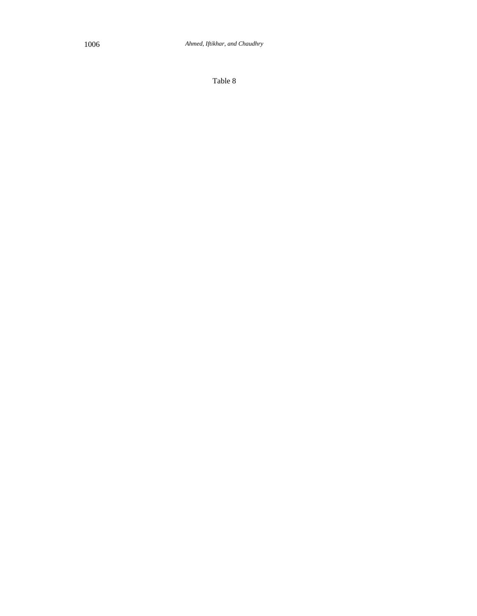Table 8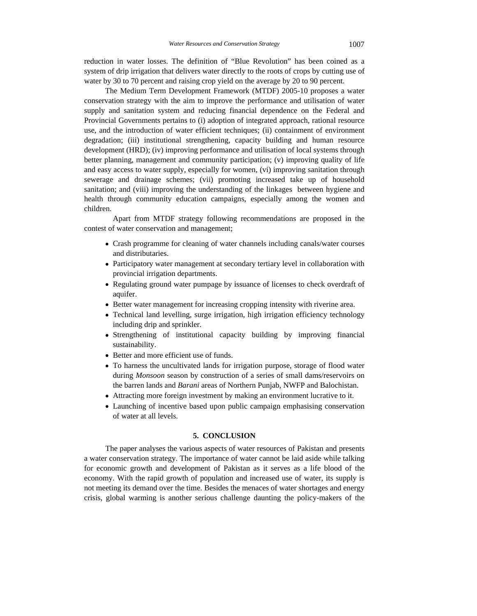reduction in water losses. The definition of "Blue Revolution" has been coined as a system of drip irrigation that delivers water directly to the roots of crops by cutting use of water by 30 to 70 percent and raising crop yield on the average by 20 to 90 percent.

The Medium Term Development Framework (MTDF) 2005-10 proposes a water conservation strategy with the aim to improve the performance and utilisation of water supply and sanitation system and reducing financial dependence on the Federal and Provincial Governments pertains to (i) adoption of integrated approach, rational resource use, and the introduction of water efficient techniques; (ii) containment of environment degradation; (iii) institutional strengthening, capacity building and human resource development (HRD); (iv) improving performance and utilisation of local systems through better planning, management and community participation; (v) improving quality of life and easy access to water supply, especially for women, (vi) improving sanitation through sewerage and drainage schemes; (vii) promoting increased take up of household sanitation; and (viii) improving the understanding of the linkages between hygiene and health through community education campaigns, especially among the women and children.

Apart from MTDF strategy following recommendations are proposed in the contest of water conservation and management;

- Crash programme for cleaning of water channels including canals/water courses and distributaries.
- Participatory water management at secondary tertiary level in collaboration with provincial irrigation departments.
- Regulating ground water pumpage by issuance of licenses to check overdraft of aquifer. The contract of the contract of the contract of the contract of the contract of the contract of the contract of the contract of the contract of the contract of the contract of the contract of the contract of the c
- Better water management for increasing cropping intensity with riverine area.
- Technical land levelling, surge irrigation, high irrigation efficiency technology including drip and sprinkler.
- Strengthening of institutional capacity building by improving financial sustainability. The contract of the contract of the contract of the contract of the contract of the contract of the contract of the contract of the contract of the contract of the contract of the contract of the contract o
- Better and more efficient use of funds.
- To harness the uncultivated lands for irrigation purpose, storage of flood water during *Monsoon* season by construction of aseries of small dams/reservoirs on the barren lands and *Barani* areas of Northern Punjab, NWFP and Balochistan.
- Attracting more foreign investment by making an environment lucrative to it.
- Launching of incentive based upon public campaign emphasising conservation of water at all levels.

# **5. CONCLUSION**

The paper analyses the various aspects of water resources of Pakistan and presents a water conservation strategy. The importance of water cannot be laid aside while talking for economic growth and development of Pakistan as it serves as a life blood of the economy. With the rapid growth of population and increased use of water, its supply is not meeting its demand over the time. Besides the menaces of water shortages and energy crisis, global warming is another serious challenge daunting the policy-makers of the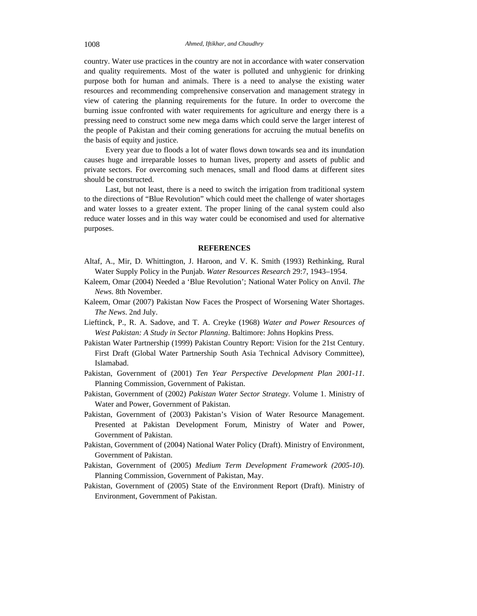country. Water use practices in the country are not in accordance with water conservation and quality requirements. Most of thewater is polluted and unhygienic for drinking purpose both for human and animals. There is a need to analyse the existing water resources and recommending comprehensive conservation and management strategy in view of catering the planning requirements for the future. In order to overcome the burning issue confronted with water requirements for agriculture and energy there is a pressing need to construct some new mega dams which could serve the larger interest of the people of Pakistan and their coming generations for accruing the mutual benefits on the basis of equity and justice.

Every year due to floods a lot of water flows down towards sea and its inundation causes huge and irreparable losses to human lives, property and assets of public and private sectors. For overcoming such menaces, small and flood dams at different sites should be constructed.

Last, but not least, there is a need to switch the irrigation from traditional system to the directions of "Blue Revolution" which could meet the challenge of water shortages and water losses to a greater extent. The proper lining of the canal system could also reduce water losses and in this way water could be economised and used for alternative purposes. The contract of the contract of the contract of the contract of the contract of the contract of the contract of the contract of the contract of the contract of the contract of the contract of the contract of the

# **REFERENCES**

- Altaf, A., Mir, D. Whittington, J. Haroon, and V. K. Smith (1993) Rethinking, Rural Water Supply Policy in the Punjab. *Water Resources Research* 29:7, 1943–1954.
- Kaleem, Omar (2004) Needed a 'Blue Revolution'; National Water Policy on Anvil. *The News.* 8th November.
- Kaleem, Omar (2007) Pakistan Now Faces the Prospect of Worsening Water Shortages. *The News*. 2nd July.
- Lieftinck, P., R. A. Sadove, and T. A. Creyke (1968) *Water and Power Resources of West Pakistan: A Study in Sector Planning*. Baltimore: Johns Hopkins Press.
- Pakistan Water Partnership (1999) Pakistan Country Report: Vision for the 21st Century. First Draft (Global Water Partnership South Asia Technical Advisory Committee), Islamabad.
- Pakistan, Government of (2001) *Ten Year Perspective Development Plan 2001-11*. Planning Commission, Government of Pakistan.
- Pakistan, Government of (2002) *Pakistan Water Sector Strategy*. Volume 1. Ministry of Water and Power, Government of Pakistan.
- Pakistan, Government of (2003) Pakistan's Vision of Water Resource Management. Presented at Pakistan Development Forum, Ministry of Water and Power, Government of Pakistan.
- Pakistan, Government of (2004) National Water Policy (Draft). Ministry of Environment, Government of Pakistan.
- Pakistan, Government of (2005) *Medium Term Development Framework (2005-10*). Planning Commission, Government of Pakistan, May.
- Pakistan, Government of (2005) State of the Environment Report (Draft). Ministry of Environment, Government of Pakistan.